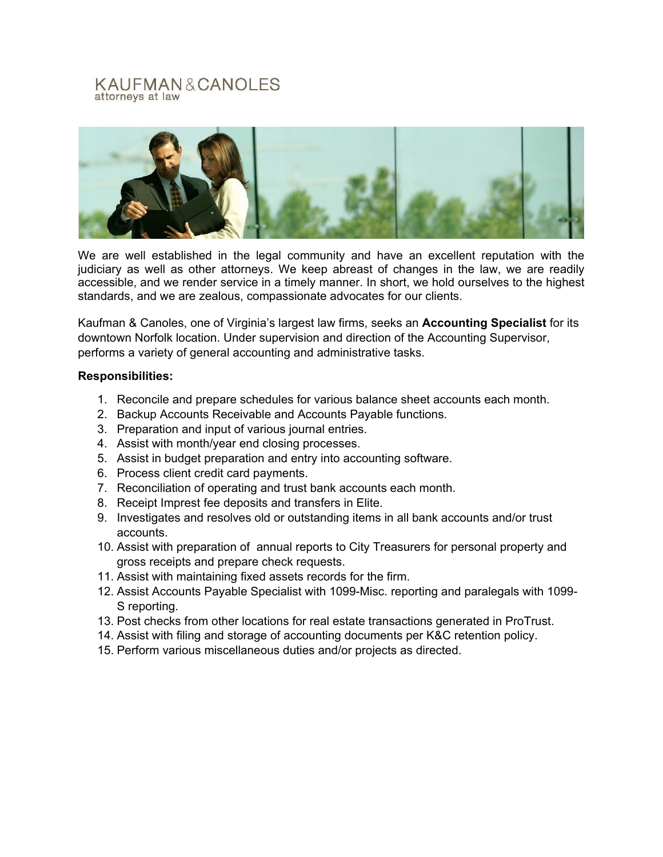## KAUFMAN&CANOLES attorneys at law



We are well established in the legal community and have an excellent reputation with the judiciary as well as other attorneys. We keep abreast of changes in the law, we are readily accessible, and we render service in a timely manner. In short, we hold ourselves to the highest standards, and we are zealous, compassionate advocates for our clients.

Kaufman & Canoles, one of Virginia's largest law firms, seeks an **Accounting Specialist** for its downtown Norfolk location. Under supervision and direction of the Accounting Supervisor, performs a variety of general accounting and administrative tasks.

## **Responsibilities:**

- 1. Reconcile and prepare schedules for various balance sheet accounts each month.
- 2. Backup Accounts Receivable and Accounts Payable functions.
- 3. Preparation and input of various journal entries.
- 4. Assist with month/year end closing processes.
- 5. Assist in budget preparation and entry into accounting software.
- 6. Process client credit card payments.
- 7. Reconciliation of operating and trust bank accounts each month.
- 8. Receipt Imprest fee deposits and transfers in Elite.
- 9. Investigates and resolves old or outstanding items in all bank accounts and/or trust accounts.
- 10. Assist with preparation of annual reports to City Treasurers for personal property and gross receipts and prepare check requests.
- 11. Assist with maintaining fixed assets records for the firm.
- 12. Assist Accounts Payable Specialist with 1099-Misc. reporting and paralegals with 1099- S reporting.
- 13. Post checks from other locations for real estate transactions generated in ProTrust.
- 14. Assist with filing and storage of accounting documents per K&C retention policy.
- 15. Perform various miscellaneous duties and/or projects as directed.